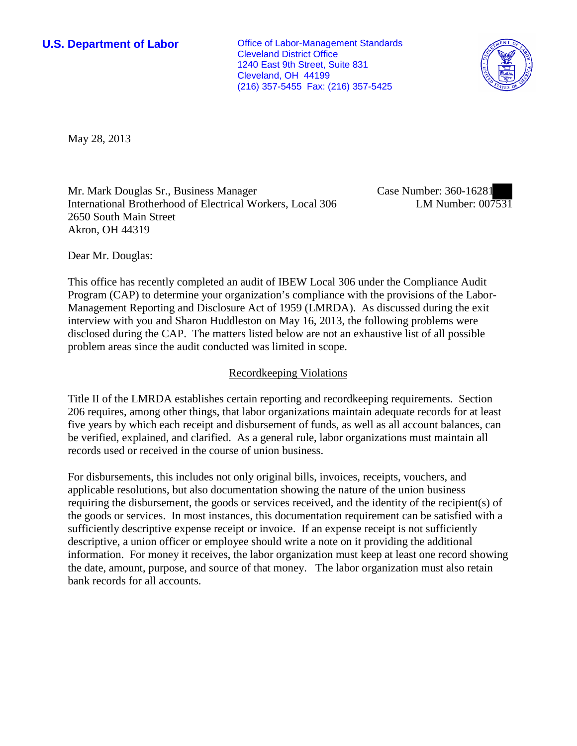**U.S. Department of Labor Office of Labor-Management Standards** Cleveland District Office 1240 East 9th Street, Suite 831 Cleveland, OH 44199 (216) 357-5455 Fax: (216) 357-5425



May 28, 2013

Mr. Mark Douglas Sr., Business Manager International Brotherhood of Electrical Workers, Local 306 2650 South Main Street Akron, OH 44319

Case Number: 360-16281 LM Number: 007531

Dear Mr. Douglas:

This office has recently completed an audit of IBEW Local 306 under the Compliance Audit Program (CAP) to determine your organization's compliance with the provisions of the Labor-Management Reporting and Disclosure Act of 1959 (LMRDA). As discussed during the exit interview with you and Sharon Huddleston on May 16, 2013, the following problems were disclosed during the CAP. The matters listed below are not an exhaustive list of all possible problem areas since the audit conducted was limited in scope.

## Recordkeeping Violations

Title II of the LMRDA establishes certain reporting and recordkeeping requirements. Section 206 requires, among other things, that labor organizations maintain adequate records for at least five years by which each receipt and disbursement of funds, as well as all account balances, can be verified, explained, and clarified. As a general rule, labor organizations must maintain all records used or received in the course of union business.

For disbursements, this includes not only original bills, invoices, receipts, vouchers, and applicable resolutions, but also documentation showing the nature of the union business requiring the disbursement, the goods or services received, and the identity of the recipient(s) of the goods or services. In most instances, this documentation requirement can be satisfied with a sufficiently descriptive expense receipt or invoice. If an expense receipt is not sufficiently descriptive, a union officer or employee should write a note on it providing the additional information. For money it receives, the labor organization must keep at least one record showing the date, amount, purpose, and source of that money. The labor organization must also retain bank records for all accounts.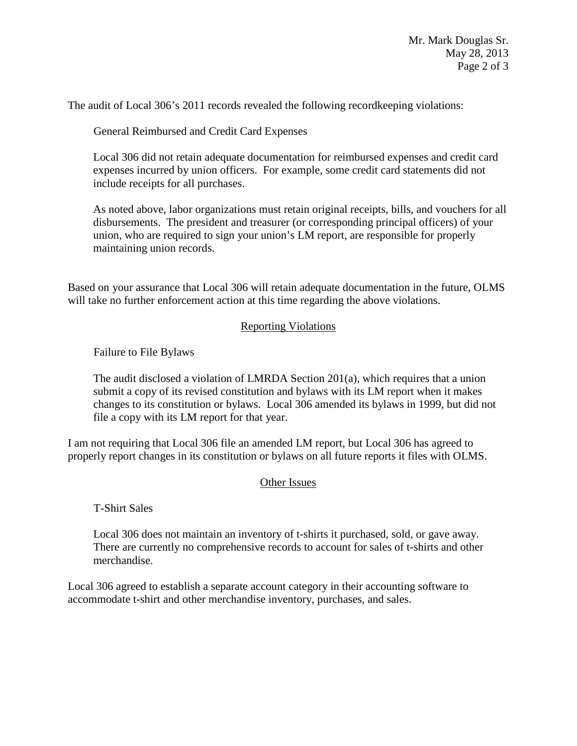The audit of Local 306's 2011 records revealed the following recordkeeping violations:

General Reimbursed and Credit Card Expenses

Local 306 did not retain adequate documentation for reimbursed expenses and credit card expenses incurred by union officers. For example, some credit card statements did not include receipts for all purchases.

As noted above, labor organizations must retain original receipts, bills, and vouchers for all disbursements. The president and treasurer (or corresponding principal officers) of your union, who are required to sign your union's LM report, are responsible for properly maintaining union records.

Based on your assurance that Local 306 will retain adequate documentation in the future, OLMS will take no further enforcement action at this time regarding the above violations.

## Reporting Violations

Failure to File Bylaws

The audit disclosed a violation of LMRDA Section 201(a), which requires that a union submit a copy of its revised constitution and bylaws with its LM report when it makes changes to its constitution or bylaws. Local 306 amended its bylaws in 1999, but did not file a copy with its LM report for that year.

I am not requiring that Local 306 file an amended LM report, but Local 306 has agreed to properly report changes in its constitution or bylaws on all future reports it files with OLMS.

## Other Issues

T-Shirt Sales

Local 306 does not maintain an inventory of t-shirts it purchased, sold, or gave away. There are currently no comprehensive records to account for sales of t-shirts and other merchandise.

Local 306 agreed to establish a separate account category in their accounting software to accommodate t-shirt and other merchandise inventory, purchases, and sales.